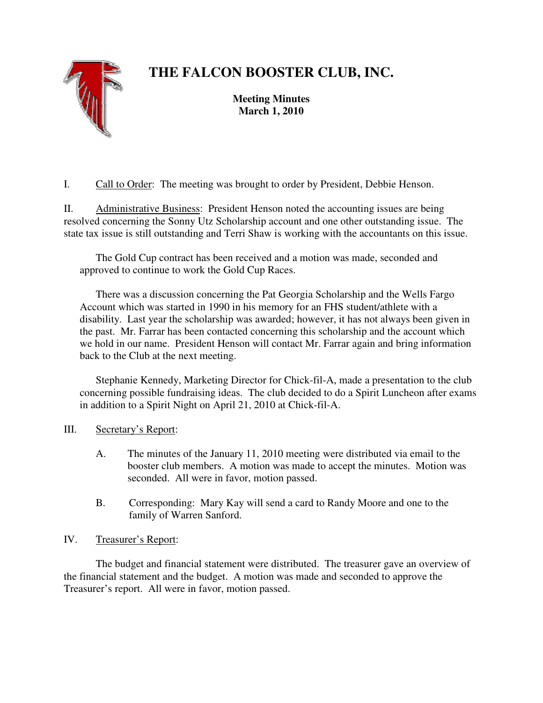# **THE FALCON BOOSTER CLUB, INC.**



**Meeting Minutes March 1, 2010** 

I. Call to Order: The meeting was brought to order by President, Debbie Henson.

II. Administrative Business: President Henson noted the accounting issues are being resolved concerning the Sonny Utz Scholarship account and one other outstanding issue. The state tax issue is still outstanding and Terri Shaw is working with the accountants on this issue.

 The Gold Cup contract has been received and a motion was made, seconded and approved to continue to work the Gold Cup Races.

 There was a discussion concerning the Pat Georgia Scholarship and the Wells Fargo Account which was started in 1990 in his memory for an FHS student/athlete with a disability. Last year the scholarship was awarded; however, it has not always been given in the past. Mr. Farrar has been contacted concerning this scholarship and the account which we hold in our name. President Henson will contact Mr. Farrar again and bring information back to the Club at the next meeting.

Stephanie Kennedy, Marketing Director for Chick-fil-A, made a presentation to the club concerning possible fundraising ideas. The club decided to do a Spirit Luncheon after exams in addition to a Spirit Night on April 21, 2010 at Chick-fil-A.

# III. Secretary's Report:

- A. The minutes of the January 11, 2010 meeting were distributed via email to the booster club members. A motion was made to accept the minutes. Motion was seconded. All were in favor, motion passed.
- B. Corresponding: Mary Kay will send a card to Randy Moore and one to the family of Warren Sanford.

# IV. Treasurer's Report:

 The budget and financial statement were distributed. The treasurer gave an overview of the financial statement and the budget. A motion was made and seconded to approve the Treasurer's report. All were in favor, motion passed.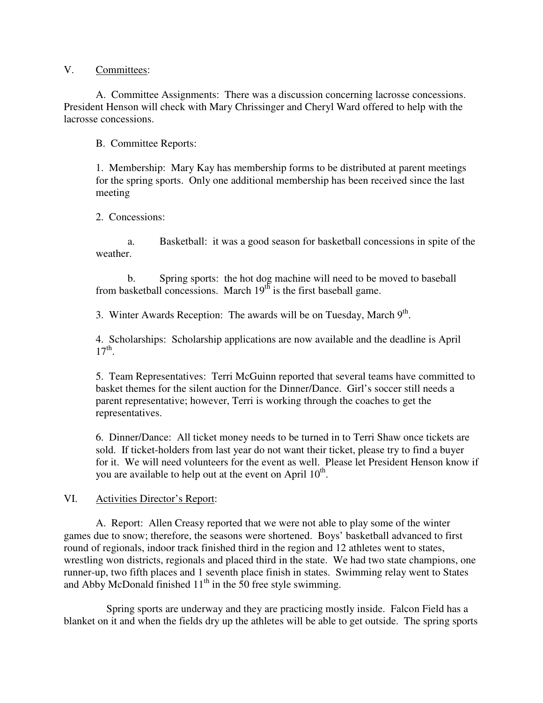#### V. Committees:

 A. Committee Assignments: There was a discussion concerning lacrosse concessions. President Henson will check with Mary Chrissinger and Cheryl Ward offered to help with the lacrosse concessions.

B. Committee Reports:

1. Membership: Mary Kay has membership forms to be distributed at parent meetings for the spring sports. Only one additional membership has been received since the last meeting

2. Concessions:

 a. Basketball: it was a good season for basketball concessions in spite of the weather.

 b. Spring sports: the hot dog machine will need to be moved to baseball from basketball concessions. March  $19<sup>th</sup>$  is the first baseball game.

3. Winter Awards Reception: The awards will be on Tuesday, March  $9<sup>th</sup>$ .

4. Scholarships: Scholarship applications are now available and the deadline is April  $17<sup>th</sup>$ .

5. Team Representatives: Terri McGuinn reported that several teams have committed to basket themes for the silent auction for the Dinner/Dance. Girl's soccer still needs a parent representative; however, Terri is working through the coaches to get the representatives.

6. Dinner/Dance: All ticket money needs to be turned in to Terri Shaw once tickets are sold. If ticket-holders from last year do not want their ticket, please try to find a buyer for it. We will need volunteers for the event as well. Please let President Henson know if you are available to help out at the event on April  $10^{th}$ .

#### VI. Activities Director's Report:

 A. Report: Allen Creasy reported that we were not able to play some of the winter games due to snow; therefore, the seasons were shortened. Boys' basketball advanced to first round of regionals, indoor track finished third in the region and 12 athletes went to states, wrestling won districts, regionals and placed third in the state. We had two state champions, one runner-up, two fifth places and 1 seventh place finish in states. Swimming relay went to States and Abby McDonald finished  $11<sup>th</sup>$  in the 50 free style swimming.

 Spring sports are underway and they are practicing mostly inside. Falcon Field has a blanket on it and when the fields dry up the athletes will be able to get outside. The spring sports